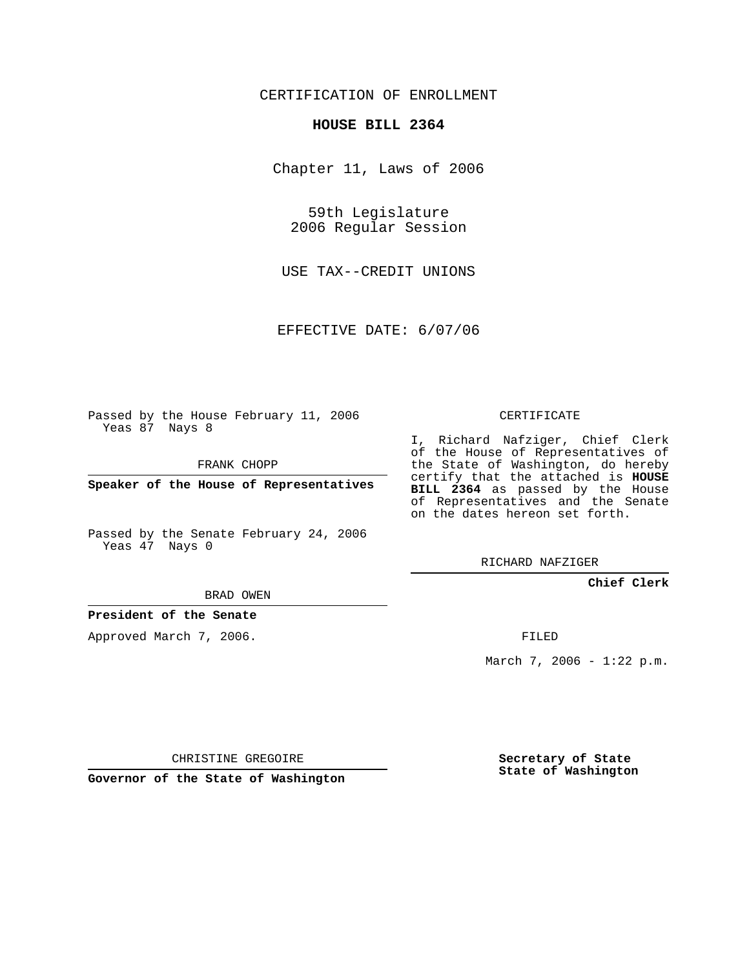CERTIFICATION OF ENROLLMENT

## **HOUSE BILL 2364**

Chapter 11, Laws of 2006

59th Legislature 2006 Regular Session

USE TAX--CREDIT UNIONS

EFFECTIVE DATE: 6/07/06

Passed by the House February 11, 2006 Yeas 87 Nays 8

FRANK CHOPP

**Speaker of the House of Representatives**

Passed by the Senate February 24, 2006 Yeas 47 Nays 0

BRAD OWEN

**President of the Senate**

Approved March 7, 2006.

CERTIFICATE

I, Richard Nafziger, Chief Clerk of the House of Representatives of the State of Washington, do hereby certify that the attached is **HOUSE BILL 2364** as passed by the House of Representatives and the Senate on the dates hereon set forth.

RICHARD NAFZIGER

**Chief Clerk**

FILED

March 7, 2006 - 1:22 p.m.

CHRISTINE GREGOIRE

**Governor of the State of Washington**

**Secretary of State State of Washington**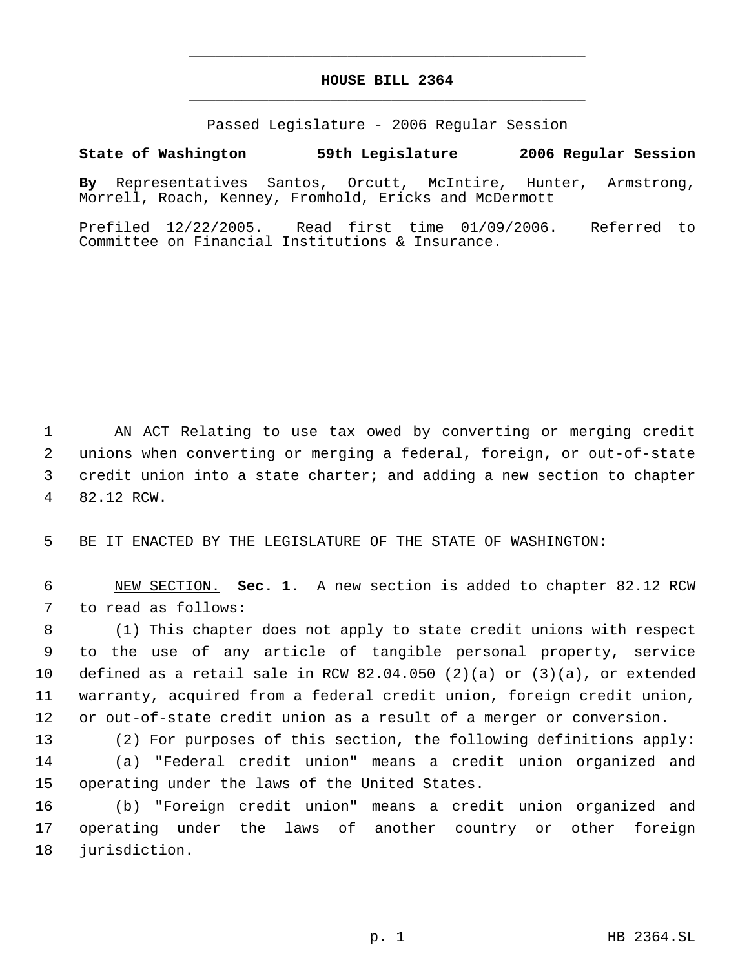## **HOUSE BILL 2364** \_\_\_\_\_\_\_\_\_\_\_\_\_\_\_\_\_\_\_\_\_\_\_\_\_\_\_\_\_\_\_\_\_\_\_\_\_\_\_\_\_\_\_\_\_

\_\_\_\_\_\_\_\_\_\_\_\_\_\_\_\_\_\_\_\_\_\_\_\_\_\_\_\_\_\_\_\_\_\_\_\_\_\_\_\_\_\_\_\_\_

Passed Legislature - 2006 Regular Session

## **State of Washington 59th Legislature 2006 Regular Session**

**By** Representatives Santos, Orcutt, McIntire, Hunter, Armstrong, Morrell, Roach, Kenney, Fromhold, Ericks and McDermott

Prefiled 12/22/2005. Read first time 01/09/2006. Referred to Committee on Financial Institutions & Insurance.

 AN ACT Relating to use tax owed by converting or merging credit unions when converting or merging a federal, foreign, or out-of-state credit union into a state charter; and adding a new section to chapter 82.12 RCW.

BE IT ENACTED BY THE LEGISLATURE OF THE STATE OF WASHINGTON:

 NEW SECTION. **Sec. 1.** A new section is added to chapter 82.12 RCW to read as follows:

 (1) This chapter does not apply to state credit unions with respect to the use of any article of tangible personal property, service defined as a retail sale in RCW 82.04.050 (2)(a) or (3)(a), or extended warranty, acquired from a federal credit union, foreign credit union, or out-of-state credit union as a result of a merger or conversion.

 (2) For purposes of this section, the following definitions apply: (a) "Federal credit union" means a credit union organized and operating under the laws of the United States.

 (b) "Foreign credit union" means a credit union organized and operating under the laws of another country or other foreign jurisdiction.